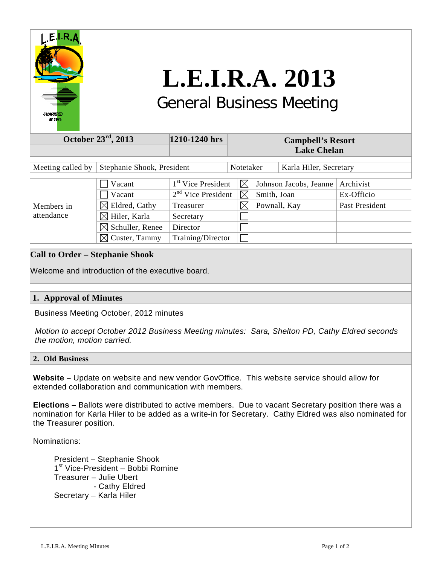

# **L.E.I.R.A. 2013** General Business Meeting

#### **October 23rd, 2013 1210-1240 hrs Campbell's Resort Lake Chelan** Meeting called by Stephanie Shook, President Notetaker Karla Hiler, Secretary  $\Box$  Vacant  $1^{st}$  Vice President  $\Box$  Johnson Jacobs, Jeanne Archivist  $\sqrt{2^{nd} \text{ Vice}}$  President  $\sqrt{\alpha}$  Smith, Joan Ex-Officio  $\boxtimes$  Eldred, Cathy Treasurer  $\boxtimes$  Pownall, Kay Past President Members in attendance  $\boxtimes$  Hiler, Karla Secretary  $\Box$  $\boxtimes$  Schuller, Renee Director  $\Box$  $\boxtimes$  Custer, Tammy Training/Director П

## **Call to Order – Stephanie Shook**

Welcome and introduction of the executive board.

## **1. Approval of Minutes**

Business Meeting October, 2012 minutes

 *Motion to accept October 2012 Business Meeting minutes: Sara, Shelton PD, Cathy Eldred seconds the motion, motion carried.*

### **2. Old Business**

**Website –** Update on website and new vendor GovOffice. This website service should allow for extended collaboration and communication with members.

**Elections –** Ballots were distributed to active members. Due to vacant Secretary position there was a nomination for Karla Hiler to be added as a write-in for Secretary. Cathy Eldred was also nominated for the Treasurer position.

Nominations:

 President – Stephanie Shook 1<sup>st</sup> Vice-President – Bobbi Romine Treasurer – Julie Ubert - Cathy Eldred Secretary – Karla Hiler